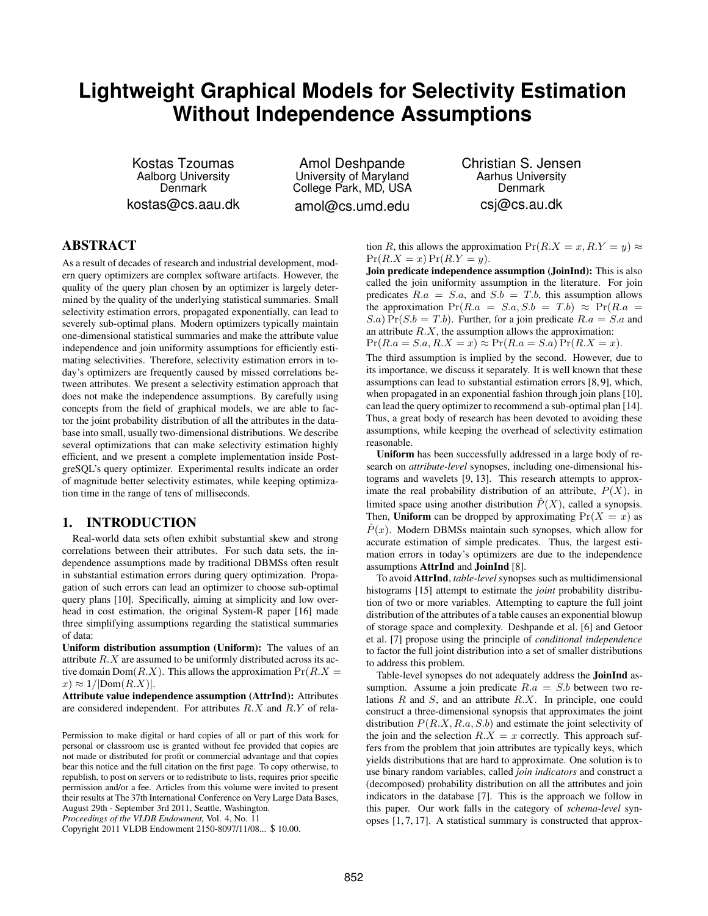# **Lightweight Graphical Models for Selectivity Estimation Without Independence Assumptions**

Kostas Tzoumas Aalborg University Denmark kostas@cs.aau.dk

Amol Deshpande University of Maryland College Park, MD, USA amol@cs.umd.edu

Christian S. Jensen Aarhus University Denmark csj@cs.au.dk

# **ABSTRACT**

As a result of decades of research and industrial development, modern query optimizers are complex software artifacts. However, the quality of the query plan chosen by an optimizer is largely determined by the quality of the underlying statistical summaries. Small selectivity estimation errors, propagated exponentially, can lead to severely sub-optimal plans. Modern optimizers typically maintain one-dimensional statistical summaries and make the attribute value independence and join uniformity assumptions for efficiently estimating selectivities. Therefore, selectivity estimation errors in today's optimizers are frequently caused by missed correlations between attributes. We present a selectivity estimation approach that does not make the independence assumptions. By carefully using concepts from the field of graphical models, we are able to factor the joint probability distribution of all the attributes in the database into small, usually two-dimensional distributions. We describe several optimizations that can make selectivity estimation highly efficient, and we present a complete implementation inside PostgreSQL's query optimizer. Experimental results indicate an order of magnitude better selectivity estimates, while keeping optimization time in the range of tens of milliseconds.

# **1. INTRODUCTION**

Real-world data sets often exhibit substantial skew and strong correlations between their attributes. For such data sets, the independence assumptions made by traditional DBMSs often result in substantial estimation errors during query optimization. Propagation of such errors can lead an optimizer to choose sub-optimal query plans [10]. Specifically, aiming at simplicity and low overhead in cost estimation, the original System-R paper [16] made three simplifying assumptions regarding the statistical summaries of data:

**Uniform distribution assumption (Uniform):** The values of an attribute R.X are assumed to be uniformly distributed across its active domain  $Dom(R.X)$ . This allows the approximation  $Pr(R.X =$  $x) \approx 1/|\text{Dom}(R.X)|.$ 

**Attribute value independence assumption (AttrInd):** Attributes are considered independent. For attributes  $R.X$  and  $R.Y$  of relation R, this allows the approximation  $Pr(R.X = x, R.Y = y) \approx$  $Pr(R.X = x) Pr(R.Y = y).$ 

**Join predicate independence assumption (JoinInd):** This is also called the join uniformity assumption in the literature. For join predicates  $R.a = S.a$ , and  $S.b = T.b$ , this assumption allows the approximation  $Pr(R.a = S.a, S.b = T.b) \approx Pr(R.a =$  $(S.a) \Pr(S.b = T.b)$ . Further, for a join predicate  $R.a = S.a$  and an attribute  $R.X$ , the assumption allows the approximation:  $Pr(R.a = S.a, R.X = x) \approx Pr(R.a = S.a) Pr(R.X = x).$ 

The third assumption is implied by the second. However, due to its importance, we discuss it separately. It is well known that these assumptions can lead to substantial estimation errors [8, 9], which, when propagated in an exponential fashion through join plans [10], can lead the query optimizer to recommend a sub-optimal plan [14]. Thus, a great body of research has been devoted to avoiding these assumptions, while keeping the overhead of selectivity estimation reasonable.

**Uniform** has been successfully addressed in a large body of research on *attribute-level* synopses, including one-dimensional histograms and wavelets [9, 13]. This research attempts to approximate the real probability distribution of an attribute,  $P(X)$ , in limited space using another distribution  $\hat{P}(X)$ , called a synopsis. Then, **Uniform** can be dropped by approximating  $Pr(X = x)$  as  $\hat{P}(x)$ . Modern DBMSs maintain such synopses, which allow for accurate estimation of simple predicates. Thus, the largest estimation errors in today's optimizers are due to the independence assumptions **AttrInd** and **JoinInd** [8].

To avoid **AttrInd**, *table-level* synopses such as multidimensional histograms [15] attempt to estimate the *joint* probability distribution of two or more variables. Attempting to capture the full joint distribution of the attributes of a table causes an exponential blowup of storage space and complexity. Deshpande et al. [6] and Getoor et al. [7] propose using the principle of *conditional independence* to factor the full joint distribution into a set of smaller distributions to address this problem.

Table-level synopses do not adequately address the **JoinInd** assumption. Assume a join predicate  $R.a = S.b$  between two relations  $R$  and  $S$ , and an attribute  $R.X$ . In principle, one could construct a three-dimensional synopsis that approximates the joint distribution  $P(R, X, R, a, S, b)$  and estimate the joint selectivity of the join and the selection  $R.X = x$  correctly. This approach suffers from the problem that join attributes are typically keys, which yields distributions that are hard to approximate. One solution is to use binary random variables, called *join indicators* and construct a (decomposed) probability distribution on all the attributes and join indicators in the database [7]. This is the approach we follow in this paper. Our work falls in the category of *schema-level* synopses [1, 7, 17]. A statistical summary is constructed that approx-

Permission to make digital or hard copies of all or part of this work for personal or classroom use is granted without fee provided that copies are not made or distributed for profit or commercial advantage and that copies bear this notice and the full citation on the first page. To copy otherwise, to republish, to post on servers or to redistribute to lists, requires prior specific permission and/or a fee. Articles from this volume were invited to present their results at The 37th International Conference on Very Large Data Bases, August 29th - September 3rd 2011, Seattle, Washington.

*Proceedings of the VLDB Endowment,* Vol. 4, No. 11

Copyright 2011 VLDB Endowment 2150-8097/11/08... \$ 10.00.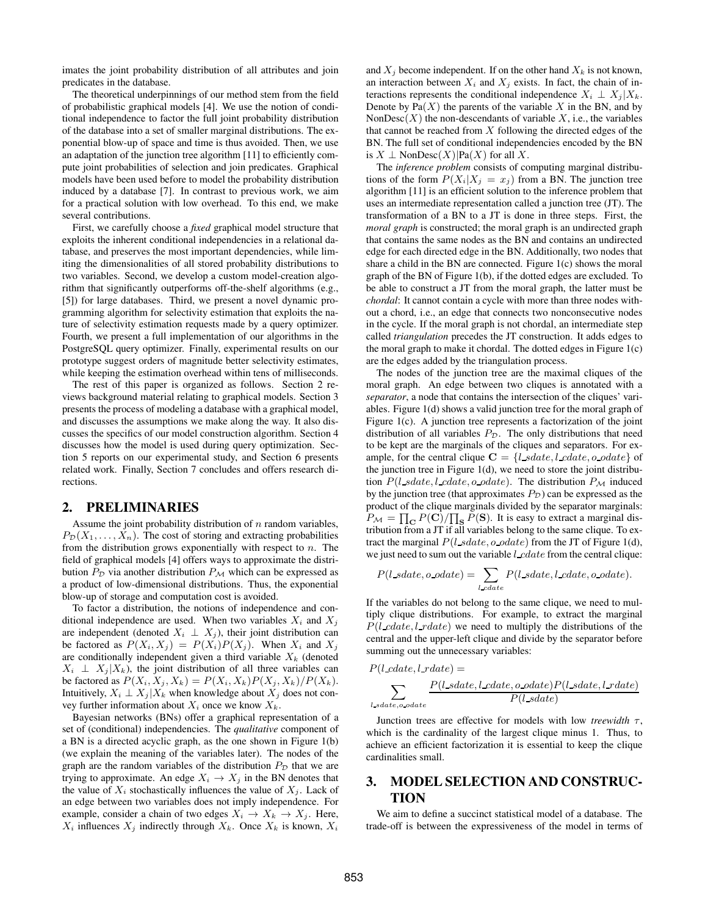imates the joint probability distribution of all attributes and join predicates in the database.

The theoretical underpinnings of our method stem from the field of probabilistic graphical models [4]. We use the notion of conditional independence to factor the full joint probability distribution of the database into a set of smaller marginal distributions. The exponential blow-up of space and time is thus avoided. Then, we use an adaptation of the junction tree algorithm [11] to efficiently compute joint probabilities of selection and join predicates. Graphical models have been used before to model the probability distribution induced by a database [7]. In contrast to previous work, we aim for a practical solution with low overhead. To this end, we make several contributions.

First, we carefully choose a *fixed* graphical model structure that exploits the inherent conditional independencies in a relational database, and preserves the most important dependencies, while limiting the dimensionalities of all stored probability distributions to two variables. Second, we develop a custom model-creation algorithm that significantly outperforms off-the-shelf algorithms (e.g., [5]) for large databases. Third, we present a novel dynamic programming algorithm for selectivity estimation that exploits the nature of selectivity estimation requests made by a query optimizer. Fourth, we present a full implementation of our algorithms in the PostgreSQL query optimizer. Finally, experimental results on our prototype suggest orders of magnitude better selectivity estimates, while keeping the estimation overhead within tens of milliseconds.

The rest of this paper is organized as follows. Section 2 reviews background material relating to graphical models. Section 3 presents the process of modeling a database with a graphical model, and discusses the assumptions we make along the way. It also discusses the specifics of our model construction algorithm. Section 4 discusses how the model is used during query optimization. Section 5 reports on our experimental study, and Section 6 presents related work. Finally, Section 7 concludes and offers research directions.

#### **2. PRELIMINARIES**

Assume the joint probability distribution of  $n$  random variables,  $P_{\mathcal{D}}(X_1, \ldots, X_n)$ . The cost of storing and extracting probabilities from the distribution grows exponentially with respect to  $n$ . The field of graphical models [4] offers ways to approximate the distribution  $P<sub>D</sub>$  via another distribution  $P<sub>M</sub>$  which can be expressed as a product of low-dimensional distributions. Thus, the exponential blow-up of storage and computation cost is avoided.

To factor a distribution, the notions of independence and conditional independence are used. When two variables  $X_i$  and  $X_j$ are independent (denoted  $X_i \perp X_j$ ), their joint distribution can be factored as  $P(X_i, X_j) = P(X_i)P(X_j)$ . When  $X_i$  and  $X_j$ are conditionally independent given a third variable  $X_k$  (denoted  $X_i \perp X_j | X_k$ , the joint distribution of all three variables can be factored as  $P(X_i, X_j, X_k) = P(X_i, X_k)P(X_j, X_k)/P(X_k)$ . Intuitively,  $X_i \perp X_j | X_k$  when knowledge about  $X_i$  does not convey further information about  $X_i$  once we know  $X_k$ .

Bayesian networks (BNs) offer a graphical representation of a set of (conditional) independencies. The *qualitative* component of a BN is a directed acyclic graph, as the one shown in Figure 1(b) (we explain the meaning of the variables later). The nodes of the graph are the random variables of the distribution  $P<sub>D</sub>$  that we are trying to approximate. An edge  $X_i \to X_j$  in the BN denotes that the value of  $X_i$  stochastically influences the value of  $X_i$ . Lack of an edge between two variables does not imply independence. For example, consider a chain of two edges  $X_i \rightarrow X_k \rightarrow X_j$ . Here,  $X_i$  influences  $X_j$  indirectly through  $X_k$ . Once  $X_k$  is known,  $X_i$  and  $X_j$  become independent. If on the other hand  $X_k$  is not known, an interaction between  $X_i$  and  $X_j$  exists. In fact, the chain of interactions represents the conditional independence  $X_i \perp X_j | X_k$ . Denote by  $Pa(X)$  the parents of the variable X in the BN, and by Non $\text{Desc}(X)$  the non-descendants of variable X, i.e., the variables that cannot be reached from  $X$  following the directed edges of the BN. The full set of conditional independencies encoded by the BN is  $X \perp \text{NonDesc}(X)|\text{Pa}(X)$  for all X.

The *inference problem* consists of computing marginal distributions of the form  $P(X_i|X_i = x_i)$  from a BN. The junction tree algorithm [11] is an efficient solution to the inference problem that uses an intermediate representation called a junction tree (JT). The transformation of a BN to a JT is done in three steps. First, the *moral graph* is constructed; the moral graph is an undirected graph that contains the same nodes as the BN and contains an undirected edge for each directed edge in the BN. Additionally, two nodes that share a child in the BN are connected. Figure 1(c) shows the moral graph of the BN of Figure 1(b), if the dotted edges are excluded. To be able to construct a JT from the moral graph, the latter must be *chordal*: It cannot contain a cycle with more than three nodes without a chord, i.e., an edge that connects two nonconsecutive nodes in the cycle. If the moral graph is not chordal, an intermediate step called *triangulation* precedes the JT construction. It adds edges to the moral graph to make it chordal. The dotted edges in Figure  $1(c)$ are the edges added by the triangulation process.

The nodes of the junction tree are the maximal cliques of the moral graph. An edge between two cliques is annotated with a *separator*, a node that contains the intersection of the cliques' variables. Figure 1(d) shows a valid junction tree for the moral graph of Figure 1(c). A junction tree represents a factorization of the joint distribution of all variables  $P_{\mathcal{D}}$ . The only distributions that need to be kept are the marginals of the cliques and separators. For example, for the central clique  $C = \{l\_sdate, l\_cdate, o\_odate\}$  of the junction tree in Figure  $1(d)$ , we need to store the joint distribution  $P(l\_sdate, l\_cdate, o\_odate)$ . The distribution  $P_M$  induced by the junction tree (that approximates  $P_D$ ) can be expressed as the product of the clique marginals divided by the separator marginals:  $P_{\mathcal{M}} = \prod_{\mathbf{C}} P(\mathbf{C}) / \prod_{\mathbf{S}} P(\mathbf{S})$ . It is easy to extract a marginal distribution from a JT if all variables belong to the same clique. To extract the marginal  $P(l\_sdate, o\_odate)$  from the JT of Figure 1(d), we just need to sum out the variable  $l\_cdate$  from the central clique:

$$
P(l\_sdate, o\_odate) = \sum_{l\_cdate} P(l\_sdate, l\_cdate, o\_odate).
$$

If the variables do not belong to the same clique, we need to multiply clique distributions. For example, to extract the marginal  $P(l\_cdate, l\_rdate)$  we need to multiply the distributions of the central and the upper-left clique and divide by the separator before summing out the unnecessary variables:

$$
P(l\_cdate, l\_rdate) = \newline \sum_{l\_sdate, o\_odate} \frac{P(l\_sdate, l\_cdate, o\_odate) P(l\_sdate, l\_rdate)}{P(l\_sdate)}
$$

Junction trees are effective for models with low *treewidth*  $\tau$ , which is the cardinality of the largest clique minus 1. Thus, to achieve an efficient factorization it is essential to keep the clique cardinalities small.

# **3. MODEL SELECTION AND CONSTRUC-TION**

We aim to define a succinct statistical model of a database. The trade-off is between the expressiveness of the model in terms of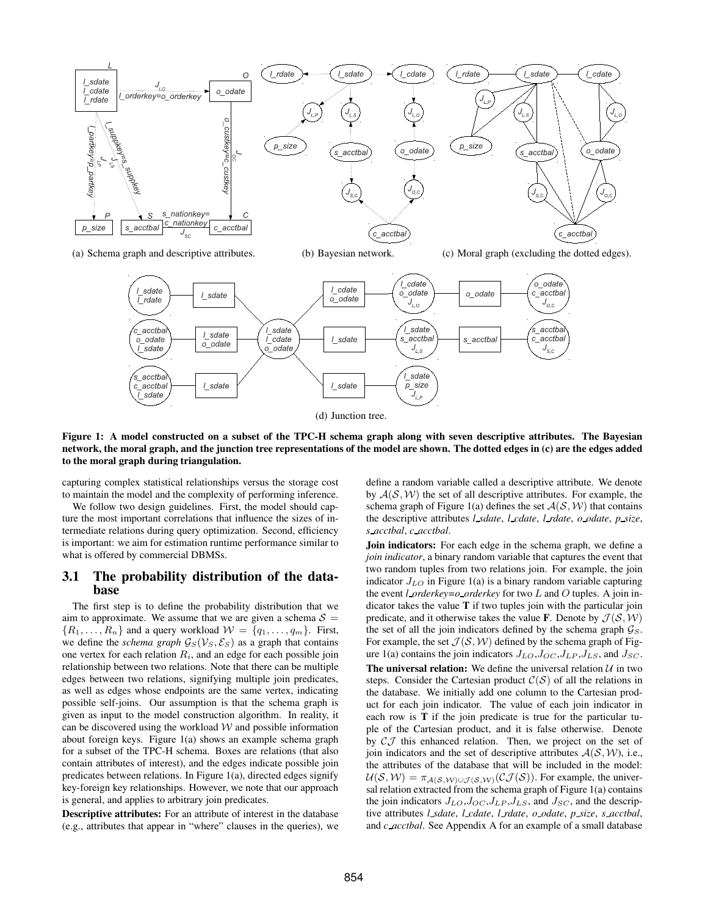

(a) Schema graph and descriptive attributes. (b) Bayesian network. (c) Moral graph (excluding the dotted edges).



**Figure 1: A model constructed on a subset of the TPC-H schema graph along with seven descriptive attributes. The Bayesian network, the moral graph, and the junction tree representations of the model are shown. The dotted edges in (c) are the edges added to the moral graph during triangulation.**

capturing complex statistical relationships versus the storage cost to maintain the model and the complexity of performing inference.

We follow two design guidelines. First, the model should capture the most important correlations that influence the sizes of intermediate relations during query optimization. Second, efficiency is important: we aim for estimation runtime performance similar to what is offered by commercial DBMSs.

#### **3.1 The probability distribution of the database**

The first step is to define the probability distribution that we aim to approximate. We assume that we are given a schema  $S =$  ${R_1, \ldots, R_n}$  and a query workload  $W = {q_1, \ldots, q_m}$ . First, we define the *schema graph*  $\mathcal{G}_S(\mathcal{V}_S, \mathcal{E}_S)$  as a graph that contains one vertex for each relation  $R_i$ , and an edge for each possible join relationship between two relations. Note that there can be multiple edges between two relations, signifying multiple join predicates, as well as edges whose endpoints are the same vertex, indicating possible self-joins. Our assumption is that the schema graph is given as input to the model construction algorithm. In reality, it can be discovered using the workload  $W$  and possible information about foreign keys. Figure 1(a) shows an example schema graph for a subset of the TPC-H schema. Boxes are relations (that also contain attributes of interest), and the edges indicate possible join predicates between relations. In Figure 1(a), directed edges signify key-foreign key relationships. However, we note that our approach is general, and applies to arbitrary join predicates.

**Descriptive attributes:** For an attribute of interest in the database (e.g., attributes that appear in "where" clauses in the queries), we

define a random variable called a descriptive attribute. We denote by  $A(S, W)$  the set of all descriptive attributes. For example, the schema graph of Figure 1(a) defines the set  $\mathcal{A}(\mathcal{S}, \mathcal{W})$  that contains the descriptive attributes *l sdate*, *l cdate*, *l rdate*, *o odate*, *p size*, *s acctbal*, *c acctbal*.

**Join indicators:** For each edge in the schema graph, we define a *join indicator*, a binary random variable that captures the event that two random tuples from two relations join. For example, the join indicator  $J_{LO}$  in Figure 1(a) is a binary random variable capturing the event *l orderkey=o orderkey* for two L and O tuples. A join indicator takes the value **T** if two tuples join with the particular join predicate, and it otherwise takes the value **F**. Denote by  $\mathcal{J}(\mathcal{S}, \mathcal{W})$ the set of all the join indicators defined by the schema graph  $\mathcal{G}_S$ . For example, the set  $\mathcal{J}(\mathcal{S}, \mathcal{W})$  defined by the schema graph of Figure 1(a) contains the join indicators  $J_{LO}, J_{OC}, J_{LP}, J_{LS}$ , and  $J_{SC}$ . **The universal relation:** We define the universal relation  $U$  in two steps. Consider the Cartesian product  $C(S)$  of all the relations in the database. We initially add one column to the Cartesian product for each join indicator. The value of each join indicator in each row is **T** if the join predicate is true for the particular tuple of the Cartesian product, and it is false otherwise. Denote by  $\mathcal{C} \mathcal{J}$  this enhanced relation. Then, we project on the set of join indicators and the set of descriptive attributes  $A(S, W)$ , i.e., the attributes of the database that will be included in the model:  $U(S, W) = \pi_{A(S, W) \cup \mathcal{T}(S, W)}(\mathcal{C} \mathcal{J}(S))$ . For example, the universal relation extracted from the schema graph of Figure 1(a) contains the join indicators  $J_{LO}, J_{OC}, J_{LP}, J_{LS}$ , and  $J_{SC}$ , and the descriptive attributes *l sdate*, *l cdate*, *l rdate*, *o odate*, *p size*, *s acctbal*, and *c acctbal*. See Appendix A for an example of a small database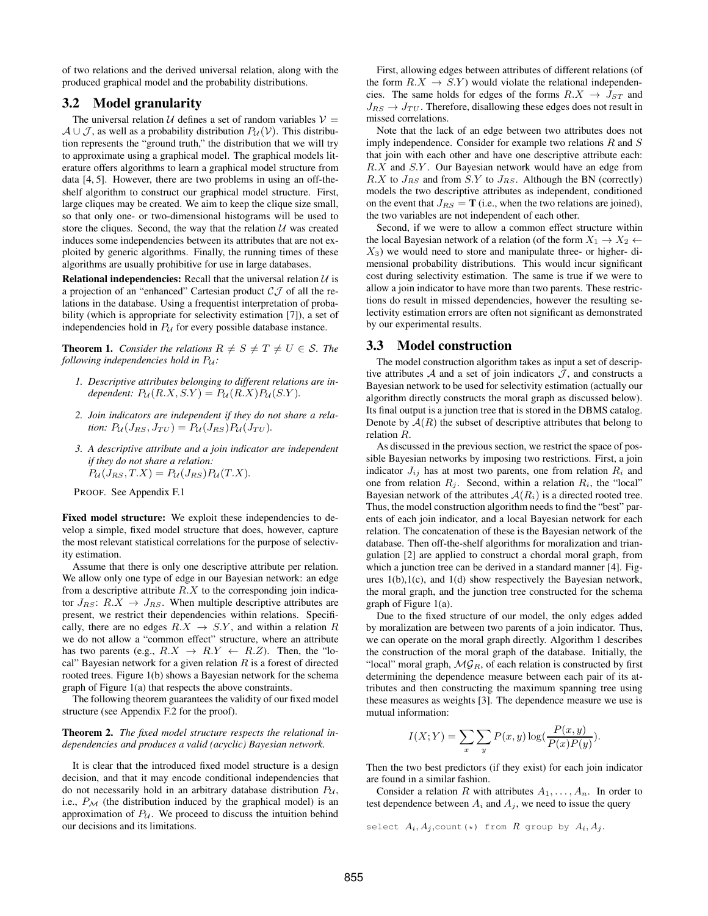of two relations and the derived universal relation, along with the produced graphical model and the probability distributions.

#### **3.2 Model granularity**

The universal relation  $U$  defines a set of random variables  $V =$  $A \cup J$ , as well as a probability distribution  $P_U(V)$ . This distribution represents the "ground truth," the distribution that we will try to approximate using a graphical model. The graphical models literature offers algorithms to learn a graphical model structure from data [4, 5]. However, there are two problems in using an off-theshelf algorithm to construct our graphical model structure. First, large cliques may be created. We aim to keep the clique size small, so that only one- or two-dimensional histograms will be used to store the cliques. Second, the way that the relation  $U$  was created induces some independencies between its attributes that are not exploited by generic algorithms. Finally, the running times of these algorithms are usually prohibitive for use in large databases.

**Relational independencies:** Recall that the universal relation  $U$  is a projection of an "enhanced" Cartesian product  $\mathcal{CJ}$  of all the relations in the database. Using a frequentist interpretation of probability (which is appropriate for selectivity estimation [7]), a set of independencies hold in  $P_U$  for every possible database instance.

**Theorem 1.** *Consider the relations*  $R \neq S \neq T \neq U \in S$ *. The following independencies hold in*  $P_u$ *:* 

- *1. Descriptive attributes belonging to different relations are independent:*  $P_{\mathcal{U}}(R.X, S.Y) = P_{\mathcal{U}}(R.X)P_{\mathcal{U}}(S.Y).$
- *2. Join indicators are independent if they do not share a relation:*  $P_{\mathcal{U}}(J_{RS}, J_{TU}) = P_{\mathcal{U}}(J_{RS}) P_{\mathcal{U}}(J_{TU}).$
- *3. A descriptive attribute and a join indicator are independent if they do not share a relation:*  $P_{\mathcal{U}}(J_{RS}, T.X) = P_{\mathcal{U}}(J_{RS}) P_{\mathcal{U}}(T.X).$

PROOF. See Appendix F.1

Fixed model structure: We exploit these independencies to develop a simple, fixed model structure that does, however, capture the most relevant statistical correlations for the purpose of selectivity estimation.

Assume that there is only one descriptive attribute per relation. We allow only one type of edge in our Bayesian network: an edge from a descriptive attribute  $R.X$  to the corresponding join indicator  $J_{RS}$ :  $R.X \rightarrow J_{RS}$ . When multiple descriptive attributes are present, we restrict their dependencies within relations. Specifically, there are no edges  $R.X \rightarrow S.Y$ , and within a relation R we do not allow a "common effect" structure, where an attribute has two parents (e.g.,  $R.X \rightarrow R.Y \leftarrow R.Z$ ). Then, the "local" Bayesian network for a given relation  $R$  is a forest of directed rooted trees. Figure 1(b) shows a Bayesian network for the schema graph of Figure 1(a) that respects the above constraints.

The following theorem guarantees the validity of our fixed model structure (see Appendix F.2 for the proof).

#### **Theorem 2.** *The fixed model structure respects the relational independencies and produces a valid (acyclic) Bayesian network.*

It is clear that the introduced fixed model structure is a design decision, and that it may encode conditional independencies that do not necessarily hold in an arbitrary database distribution  $P_{\mathcal{U}}$ , i.e.,  $P_M$  (the distribution induced by the graphical model) is an approximation of  $P_U$ . We proceed to discuss the intuition behind our decisions and its limitations.

First, allowing edges between attributes of different relations (of the form  $R.X \rightarrow S.Y$ ) would violate the relational independencies. The same holds for edges of the forms  $R.X \rightarrow J_{ST}$  and  $J_{RS} \rightarrow J_{TU}$ . Therefore, disallowing these edges does not result in missed correlations.

Note that the lack of an edge between two attributes does not imply independence. Consider for example two relations  $R$  and  $S$ that join with each other and have one descriptive attribute each: R.X and S.Y. Our Bayesian network would have an edge from  $R.X$  to  $J_{RS}$  and from S.Y to  $J_{RS}$ . Although the BN (correctly) models the two descriptive attributes as independent, conditioned on the event that  $J_{RS} = \mathbf{T}$  (i.e., when the two relations are joined), the two variables are not independent of each other.

Second, if we were to allow a common effect structure within the local Bayesian network of a relation (of the form  $X_1 \rightarrow X_2 \leftarrow$  $X_3$ ) we would need to store and manipulate three- or higher-dimensional probability distributions. This would incur significant cost during selectivity estimation. The same is true if we were to allow a join indicator to have more than two parents. These restrictions do result in missed dependencies, however the resulting selectivity estimation errors are often not significant as demonstrated by our experimental results.

#### **3.3 Model construction**

The model construction algorithm takes as input a set of descriptive attributes  $A$  and a set of join indicators  $J$ , and constructs a Bayesian network to be used for selectivity estimation (actually our algorithm directly constructs the moral graph as discussed below). Its final output is a junction tree that is stored in the DBMS catalog. Denote by  $A(R)$  the subset of descriptive attributes that belong to relation R.

As discussed in the previous section, we restrict the space of possible Bayesian networks by imposing two restrictions. First, a join indicator  $J_{ij}$  has at most two parents, one from relation  $R_i$  and one from relation  $R_j$ . Second, within a relation  $R_i$ , the "local" Bayesian network of the attributes  $A(R_i)$  is a directed rooted tree. Thus, the model construction algorithm needs to find the "best" parents of each join indicator, and a local Bayesian network for each relation. The concatenation of these is the Bayesian network of the database. Then off-the-shelf algorithms for moralization and triangulation [2] are applied to construct a chordal moral graph, from which a junction tree can be derived in a standard manner [4]. Figures 1(b),1(c), and 1(d) show respectively the Bayesian network, the moral graph, and the junction tree constructed for the schema graph of Figure 1(a).

Due to the fixed structure of our model, the only edges added by moralization are between two parents of a join indicator. Thus, we can operate on the moral graph directly. Algorithm 1 describes the construction of the moral graph of the database. Initially, the "local" moral graph,  $\mathcal{MG}_R$ , of each relation is constructed by first determining the dependence measure between each pair of its attributes and then constructing the maximum spanning tree using these measures as weights [3]. The dependence measure we use is mutual information:

$$
I(X;Y) = \sum_{x} \sum_{y} P(x,y) \log(\frac{P(x,y)}{P(x)P(y)}).
$$

Then the two best predictors (if they exist) for each join indicator are found in a similar fashion.

Consider a relation R with attributes  $A_1, \ldots, A_n$ . In order to test dependence between  $A_i$  and  $A_j$ , we need to issue the query

select  $A_i, A_j$ , count (\*) from  $R$  group by  $A_i, A_j$ .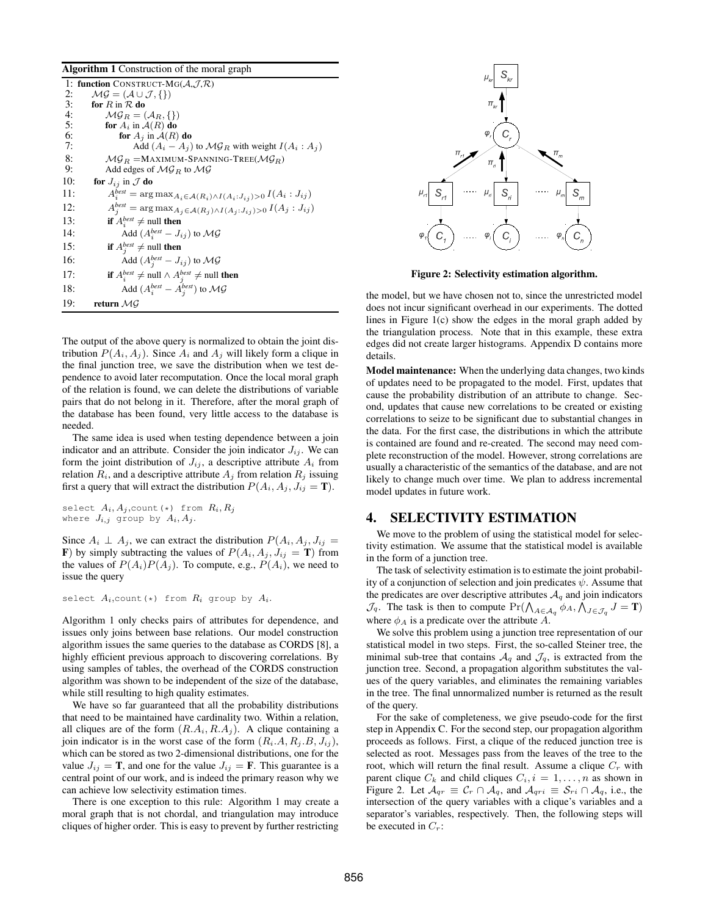#### **Algorithm 1** Construction of the moral graph

|     | 1: function CONSTRUCT-MG( $A, \mathcal{J}, \mathcal{R}$ )                                      |
|-----|------------------------------------------------------------------------------------------------|
| 2:  | $\mathcal{MG} = (\mathcal{A} \cup \mathcal{J}, \{\})$                                          |
| 3:  | for $R$ in $R$ do                                                                              |
| 4:  | $\mathcal{MG}_B = (\mathcal{A}_B, \{\})$                                                       |
| 5:  | for $A_i$ in $A(R)$ do                                                                         |
| 6:  | for $A_j$ in $A(R)$ do                                                                         |
| 7:  | Add $(A_i - A_j)$ to $\mathcal{MG}_R$ with weight $I(A_i : A_j)$                               |
| 8:  | $MG_B =$ MAXIMUM-SPANNING-TREE( $MG_R$ )                                                       |
| 9:  | Add edges of $\mathcal{MG}_R$ to $\mathcal{MG}$                                                |
| 10: | for $J_{ij}$ in $\mathcal J$ do                                                                |
| 11: | $A_i^{best} = \arg \max_{A_i \in \mathcal{A}(R_i) \wedge I(A_i : J_{ij}) > 0} I(A_i : J_{ij})$ |
| 12: | $A_j^{best} = \arg \max_{A_j \in \mathcal{A}(R_j) \wedge I(A_j : J_{ij}) > 0} I(A_j : J_{ij})$ |
| 13: | <b>if</b> $A_i^{best} \neq \text{null}$ then                                                   |
| 14: | Add $(A_i^{best} - J_{ij})$ to $\mathcal{MG}$                                                  |
| 15: | <b>if</b> $A_j^{best} \neq \text{null}$ then                                                   |
| 16: | Add $(A_i^{best} - J_{ij})$ to $\mathcal{MG}$                                                  |
| 17: | <b>if</b> $A_i^{best} \neq \text{null} \land A_j^{best} \neq \text{null}$ then                 |
| 18: | Add $(A_i^{best} - A_j^{best})$ to $\mathcal{MG}$                                              |
| 19: | return $MG$                                                                                    |
|     |                                                                                                |

The output of the above query is normalized to obtain the joint distribution  $P(A_i, A_j)$ . Since  $A_i$  and  $A_j$  will likely form a clique in the final junction tree, we save the distribution when we test dependence to avoid later recomputation. Once the local moral graph of the relation is found, we can delete the distributions of variable pairs that do not belong in it. Therefore, after the moral graph of the database has been found, very little access to the database is needed.

The same idea is used when testing dependence between a join indicator and an attribute. Consider the join indicator  $J_{ij}$ . We can form the joint distribution of  $J_{ij}$ , a descriptive attribute  $A_i$  from relation  $R_i$ , and a descriptive attribute  $A_j$  from relation  $R_j$  issuing first a query that will extract the distribution  $P(A_i, A_j, J_{ij} = T)$ .

select  $A_i, A_j$ , count (\*) from  $R_i, R_j$ where  $J_{i,j}$  group by  $A_i, A_j$ .

Since  $A_i \perp A_j$ , we can extract the distribution  $P(A_i, A_j, J_{ij})$ **F**) by simply subtracting the values of  $P(A_i, A_j, J_{ij} = T)$  from the values of  $P(A_i)P(A_j)$ . To compute, e.g.,  $P(A_i)$ , we need to issue the query

select  $A_i$ , count (\*) from  $R_i$  group by  $A_i$ .

Algorithm 1 only checks pairs of attributes for dependence, and issues only joins between base relations. Our model construction algorithm issues the same queries to the database as CORDS [8], a highly efficient previous approach to discovering correlations. By using samples of tables, the overhead of the CORDS construction algorithm was shown to be independent of the size of the database, while still resulting to high quality estimates.

We have so far guaranteed that all the probability distributions that need to be maintained have cardinality two. Within a relation, all cliques are of the form  $(R.A_i, R.A_j)$ . A clique containing a join indicator is in the worst case of the form  $(R_i.A, R_j.B, J_{ij}),$ which can be stored as two 2-dimensional distributions, one for the value  $J_{ij} = \mathbf{T}$ , and one for the value  $J_{ij} = \mathbf{F}$ . This guarantee is a central point of our work, and is indeed the primary reason why we can achieve low selectivity estimation times.

There is one exception to this rule: Algorithm 1 may create a moral graph that is not chordal, and triangulation may introduce cliques of higher order. This is easy to prevent by further restricting



**Figure 2: Selectivity estimation algorithm.**

the model, but we have chosen not to, since the unrestricted model does not incur significant overhead in our experiments. The dotted lines in Figure 1(c) show the edges in the moral graph added by the triangulation process. Note that in this example, these extra edges did not create larger histograms. Appendix D contains more details.

**Model maintenance:** When the underlying data changes, two kinds of updates need to be propagated to the model. First, updates that cause the probability distribution of an attribute to change. Second, updates that cause new correlations to be created or existing correlations to seize to be significant due to substantial changes in the data. For the first case, the distributions in which the attribute is contained are found and re-created. The second may need complete reconstruction of the model. However, strong correlations are usually a characteristic of the semantics of the database, and are not likely to change much over time. We plan to address incremental model updates in future work.

### **4. SELECTIVITY ESTIMATION**

We move to the problem of using the statistical model for selectivity estimation. We assume that the statistical model is available in the form of a junction tree.

The task of selectivity estimation is to estimate the joint probability of a conjunction of selection and join predicates  $\psi$ . Assume that the predicates are over descriptive attributes  $A_q$  and join indicators  $\mathcal{J}_q$ . The task is then to compute  $Pr(\bigwedge_{A \in \mathcal{A}_q} \phi_A, \bigwedge_{J \in \mathcal{J}_q} J = \mathbf{T})$ where  $\phi_A$  is a predicate over the attribute A.

We solve this problem using a junction tree representation of our statistical model in two steps. First, the so-called Steiner tree, the minimal sub-tree that contains  $A_q$  and  $\mathcal{J}_q$ , is extracted from the junction tree. Second, a propagation algorithm substitutes the values of the query variables, and eliminates the remaining variables in the tree. The final unnormalized number is returned as the result of the query.

For the sake of completeness, we give pseudo-code for the first step in Appendix C. For the second step, our propagation algorithm proceeds as follows. First, a clique of the reduced junction tree is selected as root. Messages pass from the leaves of the tree to the root, which will return the final result. Assume a clique  $C_r$  with parent clique  $C_k$  and child cliques  $C_i, i = 1, \ldots, n$  as shown in Figure 2. Let  $\mathcal{A}_{qr} \equiv \mathcal{C}_r \cap \mathcal{A}_q$ , and  $\mathcal{A}_{qri} \equiv \mathcal{S}_{ri} \cap \mathcal{A}_q$ , i.e., the intersection of the query variables with a clique's variables and a separator's variables, respectively. Then, the following steps will be executed in  $C_r$ :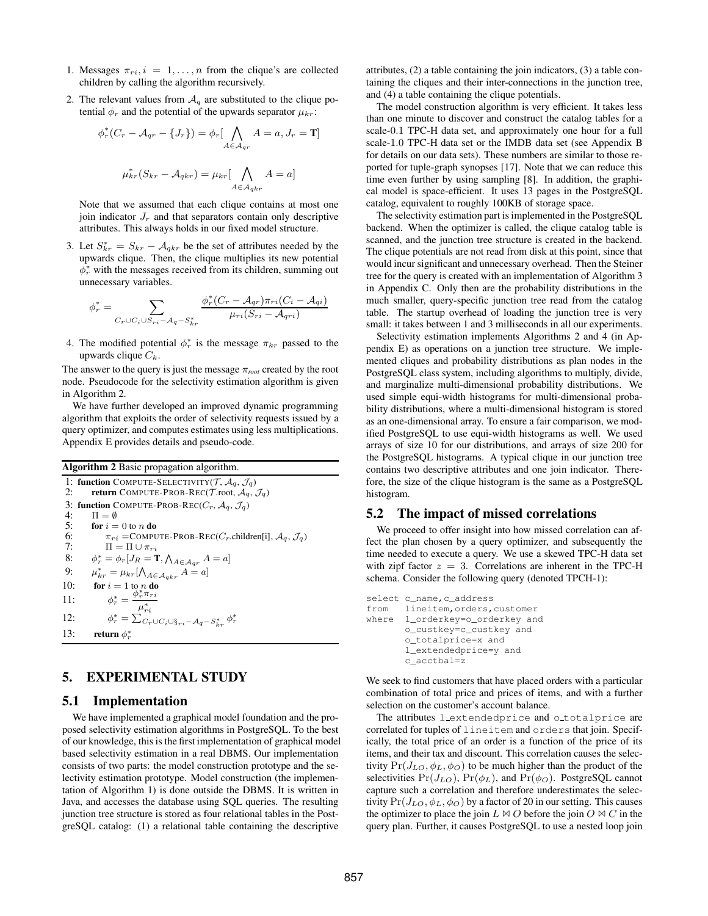- 1. Messages  $\pi_{ri}$ ,  $i = 1, \ldots, n$  from the clique's are collected children by calling the algorithm recursively.
- 2. The relevant values from  $A_q$  are substituted to the clique potential  $\phi_r$  and the potential of the upwards separator  $\mu_{kr}$ :

$$
\phi_r^*(C_r - \mathcal{A}_{qr} - \{J_r\}) = \phi_r[\bigwedge_{A \in \mathcal{A}_{qr}} A = a, J_r = \mathbf{T}]
$$

$$
\mu_{kr}^*(S_{kr} - \mathcal{A}_{qkr}) = \mu_{kr}[\bigwedge_{A \in \mathcal{A}_{qkr}} A = a]
$$

Note that we assumed that each clique contains at most one join indicator  $J_r$  and that separators contain only descriptive attributes. This always holds in our fixed model structure.

3. Let  $S_{kr}^* = S_{kr} - A_{qkr}$  be the set of attributes needed by the upwards clique. Then, the clique multiplies its new potential  $\bar{\phi}_r^*$  with the messages received from its children, summing out unnecessary variables.

$$
\phi_r^* = \sum_{C_r \cup C_i \cup S_{ri} - A_q - S_{kr}^*} \frac{\phi_r^*(C_r - A_{qr})\pi_{ri}(C_i - A_{qi})}{\mu_{ri}(S_{ri} - A_{qr})}
$$

4. The modified potential  $\phi_r^*$  is the message  $\pi_{kr}$  passed to the upwards clique  $C_k$ .

The answer to the query is just the message  $\pi_{root}$  created by the root node. Pseudocode for the selectivity estimation algorithm is given in Algorithm 2.

We have further developed an improved dynamic programming algorithm that exploits the order of selectivity requests issued by a query optimizer, and computes estimates using less multiplications. Appendix E provides details and pseudo-code.

| <b>Algorithm 2</b> Basic propagation algorithm.                                                                                                  |  |  |
|--------------------------------------------------------------------------------------------------------------------------------------------------|--|--|
| 1: function COMPUTE-SELECTIVITY (T, $A_a$ , $\mathcal{J}_a$ )<br>2:<br><b>return</b> COMPUTE-PROB-REC( <i>T</i> .root, $A_a$ , $\mathcal{J}_a$ ) |  |  |
| 3: function COMPUTE-PROB-REC( $C_r$ , $A_a$ , $\mathcal{J}_a$ )                                                                                  |  |  |
| 4:<br>$\Pi = \emptyset$<br>5:<br><b>for</b> $i = 0$ to n <b>do</b>                                                                               |  |  |
| 6:<br>$\pi_{ri}$ = COMPUTE-PROB-REC(C <sub>r</sub> .children[i], $\mathcal{A}_q$ , $\mathcal{J}_q$ )<br>7:<br>$\Pi = \Pi \cup \pi_{ri}$          |  |  |
| 8:<br>$\phi_r^* = \phi_r[J_R = \mathbf{T}, \bigwedge_{A \in \mathcal{A}_{ar}} A = a]$                                                            |  |  |
| $\mu_{kr}^* = \mu_{kr} [\bigwedge_{A \in \mathcal{A}_{arkr}} A = a]$<br>9:                                                                       |  |  |
| 10:<br>for $i=1$ to n do<br>$\phi_r^* = \frac{\phi_r^* \pi_{ri}}{\mu_{ri}^*}$<br>11:                                                             |  |  |
| $\phi_r^* = \sum_{C_r \cup C_i \cup \S_{ri} - A_q - S_{kr}^*} \phi_r^*$<br>12:                                                                   |  |  |
| 13:<br>return $\phi^*$                                                                                                                           |  |  |

# **5. EXPERIMENTAL STUDY**

#### **5.1 Implementation**

We have implemented a graphical model foundation and the proposed selectivity estimation algorithms in PostgreSQL. To the best of our knowledge, this is the first implementation of graphical model based selectivity estimation in a real DBMS. Our implementation consists of two parts: the model construction prototype and the selectivity estimation prototype. Model construction (the implementation of Algorithm 1) is done outside the DBMS. It is written in Java, and accesses the database using SQL queries. The resulting junction tree structure is stored as four relational tables in the PostgreSQL catalog: (1) a relational table containing the descriptive

attributes, (2) a table containing the join indicators, (3) a table containing the cliques and their inter-connections in the junction tree, and (4) a table containing the clique potentials.

The model construction algorithm is very efficient. It takes less than one minute to discover and construct the catalog tables for a scale-0.1 TPC-H data set, and approximately one hour for a full scale-1.0 TPC-H data set or the IMDB data set (see Appendix B for details on our data sets). These numbers are similar to those reported for tuple-graph synopses [17]. Note that we can reduce this time even further by using sampling [8]. In addition, the graphical model is space-efficient. It uses 13 pages in the PostgreSQL catalog, equivalent to roughly 100KB of storage space.

The selectivity estimation part is implemented in the PostgreSQL backend. When the optimizer is called, the clique catalog table is scanned, and the junction tree structure is created in the backend. The clique potentials are not read from disk at this point, since that would incur significant and unnecessary overhead. Then the Steiner tree for the query is created with an implementation of Algorithm 3 in Appendix C. Only then are the probability distributions in the much smaller, query-specific junction tree read from the catalog table. The startup overhead of loading the junction tree is very small: it takes between 1 and 3 milliseconds in all our experiments.

Selectivity estimation implements Algorithms 2 and 4 (in Appendix E) as operations on a junction tree structure. We implemented cliques and probability distributions as plan nodes in the PostgreSQL class system, including algorithms to multiply, divide, and marginalize multi-dimensional probability distributions. We used simple equi-width histograms for multi-dimensional probability distributions, where a multi-dimensional histogram is stored as an one-dimensional array. To ensure a fair comparison, we modified PostgreSQL to use equi-width histograms as well. We used arrays of size 10 for our distributions, and arrays of size 200 for the PostgreSQL histograms. A typical clique in our junction tree contains two descriptive attributes and one join indicator. Therefore, the size of the clique histogram is the same as a PostgreSQL histogram.

### **5.2 The impact of missed correlations**

We proceed to offer insight into how missed correlation can affect the plan chosen by a query optimizer, and subsequently the time needed to execute a query. We use a skewed TPC-H data set with zipf factor  $z = 3$ . Correlations are inherent in the TPC-H schema. Consider the following query (denoted TPCH-1):

```
select c_name, c_address
from lineitem,orders,customer
where l_orderkey=o_orderkey and
       o_custkey=c_custkey and
       o_totalprice=x and
       l_extendedprice=y and
       c_acctbal=z
```
We seek to find customers that have placed orders with a particular combination of total price and prices of items, and with a further selection on the customer's account balance.

The attributes lextendedprice and o\_totalprice are correlated for tuples of lineitem and orders that join. Specifically, the total price of an order is a function of the price of its items, and their tax and discount. This correlation causes the selectivity  $Pr(J_{LO}, \phi_L, \phi_O)$  to be much higher than the product of the selectivities  $Pr(J_{LO})$ ,  $Pr(\phi_L)$ , and  $Pr(\phi_O)$ . PostgreSQL cannot capture such a correlation and therefore underestimates the selectivity  $Pr(J_{LO}, \phi_L, \phi_O)$  by a factor of 20 in our setting. This causes the optimizer to place the join  $L \bowtie O$  before the join  $O \bowtie C$  in the query plan. Further, it causes PostgreSQL to use a nested loop join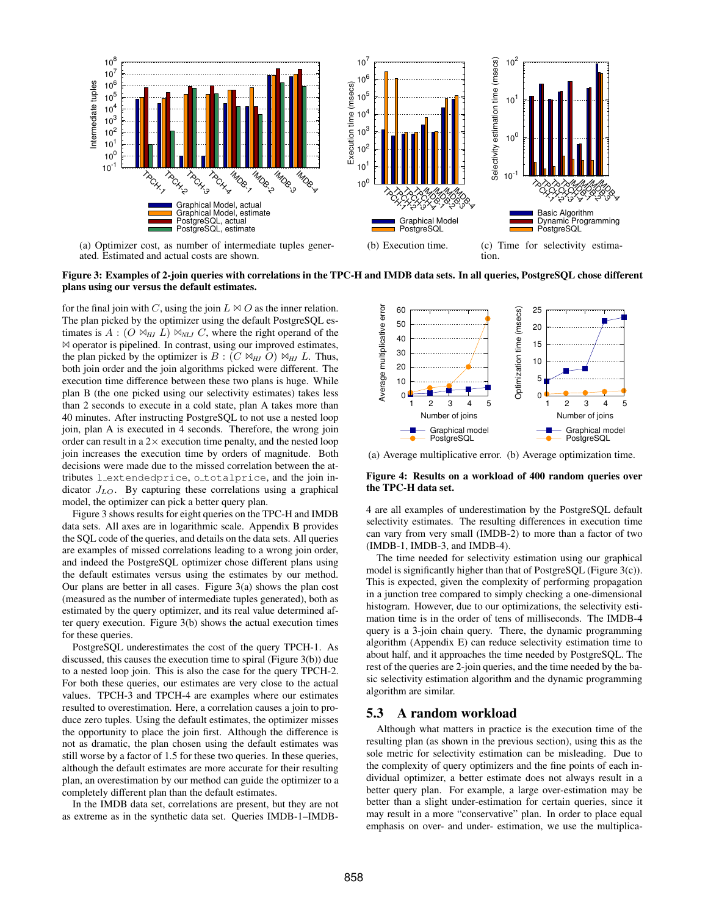

ated. Estimated and actual costs are shown.

tion.



for the final join with C, using the join  $L \bowtie O$  as the inner relation. The plan picked by the optimizer using the default PostgreSQL estimates is  $A : (O \bowtie_{HJ} L) \bowtie_{NLI} C$ , where the right operand of the  $\bowtie$  operator is pipelined. In contrast, using our improved estimates, the plan picked by the optimizer is  $B : (C \bowtie_H) O \bowtie_H L$ . Thus, both join order and the join algorithms picked were different. The execution time difference between these two plans is huge. While plan B (the one picked using our selectivity estimates) takes less than 2 seconds to execute in a cold state, plan A takes more than 40 minutes. After instructing PostgreSQL to not use a nested loop join, plan A is executed in 4 seconds. Therefore, the wrong join order can result in a  $2\times$  execution time penalty, and the nested loop join increases the execution time by orders of magnitude. Both decisions were made due to the missed correlation between the attributes l extendedprice, o totalprice, and the join indicator  $J_{LO}$ . By capturing these correlations using a graphical model, the optimizer can pick a better query plan.

Figure 3 shows results for eight queries on the TPC-H and IMDB data sets. All axes are in logarithmic scale. Appendix B provides the SQL code of the queries, and details on the data sets. All queries are examples of missed correlations leading to a wrong join order, and indeed the PostgreSQL optimizer chose different plans using the default estimates versus using the estimates by our method. Our plans are better in all cases. Figure 3(a) shows the plan cost (measured as the number of intermediate tuples generated), both as estimated by the query optimizer, and its real value determined after query execution. Figure 3(b) shows the actual execution times for these queries.

PostgreSQL underestimates the cost of the query TPCH-1. As discussed, this causes the execution time to spiral (Figure 3(b)) due to a nested loop join. This is also the case for the query TPCH-2. For both these queries, our estimates are very close to the actual values. TPCH-3 and TPCH-4 are examples where our estimates resulted to overestimation. Here, a correlation causes a join to produce zero tuples. Using the default estimates, the optimizer misses the opportunity to place the join first. Although the difference is not as dramatic, the plan chosen using the default estimates was still worse by a factor of 1.5 for these two queries. In these queries, although the default estimates are more accurate for their resulting plan, an overestimation by our method can guide the optimizer to a completely different plan than the default estimates.

In the IMDB data set, correlations are present, but they are not as extreme as in the synthetic data set. Queries IMDB-1–IMDB-



(a) Average multiplicative error. (b) Average optimization time.

#### **Figure 4: Results on a workload of 400 random queries over the TPC-H data set.**

4 are all examples of underestimation by the PostgreSQL default selectivity estimates. The resulting differences in execution time can vary from very small (IMDB-2) to more than a factor of two (IMDB-1, IMDB-3, and IMDB-4).

The time needed for selectivity estimation using our graphical model is significantly higher than that of PostgreSQL (Figure 3(c)). This is expected, given the complexity of performing propagation in a junction tree compared to simply checking a one-dimensional histogram. However, due to our optimizations, the selectivity estimation time is in the order of tens of milliseconds. The IMDB-4 query is a 3-join chain query. There, the dynamic programming algorithm (Appendix E) can reduce selectivity estimation time to about half, and it approaches the time needed by PostgreSQL. The rest of the queries are 2-join queries, and the time needed by the basic selectivity estimation algorithm and the dynamic programming algorithm are similar.

#### **5.3 A random workload**

Although what matters in practice is the execution time of the resulting plan (as shown in the previous section), using this as the sole metric for selectivity estimation can be misleading. Due to the complexity of query optimizers and the fine points of each individual optimizer, a better estimate does not always result in a better query plan. For example, a large over-estimation may be better than a slight under-estimation for certain queries, since it may result in a more "conservative" plan. In order to place equal emphasis on over- and under- estimation, we use the multiplica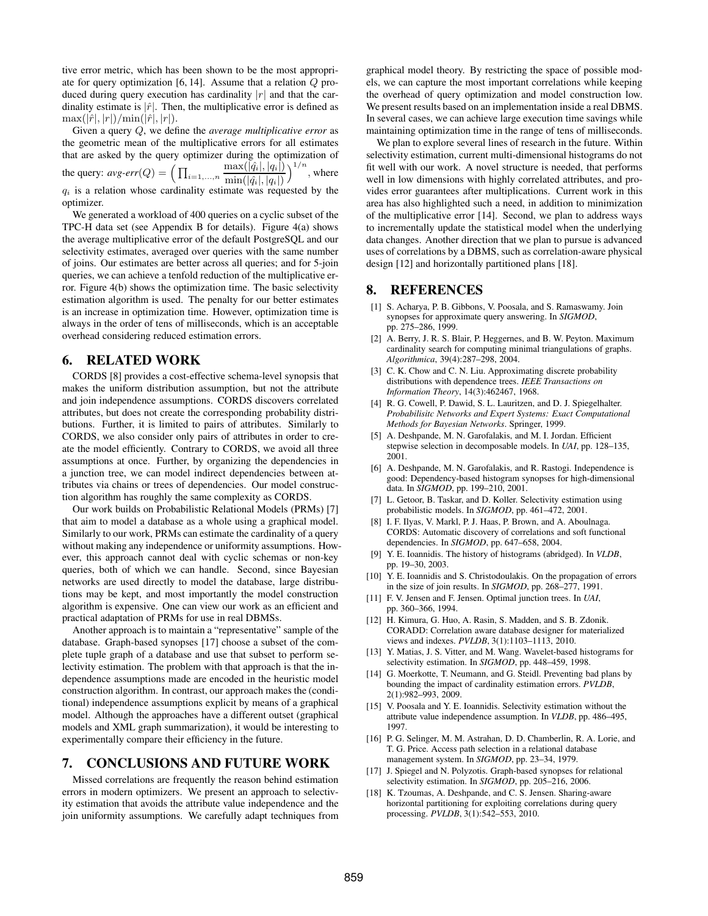tive error metric, which has been shown to be the most appropriate for query optimization [6, 14]. Assume that a relation Q produced during query execution has cardinality  $|r|$  and that the cardinality estimate is  $|\hat{r}|$ . Then, the multiplicative error is defined as  $\max(|\hat{r}|, |r|)/\min(|\hat{r}|, |r|).$ 

Given a query Q, we define the *average multiplicative error* as the geometric mean of the multiplicative errors for all estimates that are asked by the query optimizer during the optimization of the query:  $avg\text{-}err(Q) = \left(\prod_{i=1,\dots,n} \frac{\max(|\hat{q}_i|, |q_i|)}{\min(|\hat{q}_i|, |\alpha_i|)}\right)$  $\min(|\hat{q_i}|, |q_i|)$  $\max(|\hat{q}_i|, |q_i|) \setminus 1/n$ , where  $q_i$  is a relation whose cardinality estimate was requested by the optimizer.

We generated a workload of 400 queries on a cyclic subset of the TPC-H data set (see Appendix B for details). Figure 4(a) shows the average multiplicative error of the default PostgreSQL and our selectivity estimates, averaged over queries with the same number of joins. Our estimates are better across all queries; and for 5-join queries, we can achieve a tenfold reduction of the multiplicative error. Figure 4(b) shows the optimization time. The basic selectivity estimation algorithm is used. The penalty for our better estimates is an increase in optimization time. However, optimization time is always in the order of tens of milliseconds, which is an acceptable overhead considering reduced estimation errors.

# **6. RELATED WORK**

CORDS [8] provides a cost-effective schema-level synopsis that makes the uniform distribution assumption, but not the attribute and join independence assumptions. CORDS discovers correlated attributes, but does not create the corresponding probability distributions. Further, it is limited to pairs of attributes. Similarly to CORDS, we also consider only pairs of attributes in order to create the model efficiently. Contrary to CORDS, we avoid all three assumptions at once. Further, by organizing the dependencies in a junction tree, we can model indirect dependencies between attributes via chains or trees of dependencies. Our model construction algorithm has roughly the same complexity as CORDS.

Our work builds on Probabilistic Relational Models (PRMs) [7] that aim to model a database as a whole using a graphical model. Similarly to our work, PRMs can estimate the cardinality of a query without making any independence or uniformity assumptions. However, this approach cannot deal with cyclic schemas or non-key queries, both of which we can handle. Second, since Bayesian networks are used directly to model the database, large distributions may be kept, and most importantly the model construction algorithm is expensive. One can view our work as an efficient and practical adaptation of PRMs for use in real DBMSs.

Another approach is to maintain a "representative" sample of the database. Graph-based synopses [17] choose a subset of the complete tuple graph of a database and use that subset to perform selectivity estimation. The problem with that approach is that the independence assumptions made are encoded in the heuristic model construction algorithm. In contrast, our approach makes the (conditional) independence assumptions explicit by means of a graphical model. Although the approaches have a different outset (graphical models and XML graph summarization), it would be interesting to experimentally compare their efficiency in the future.

# **7. CONCLUSIONS AND FUTURE WORK**

Missed correlations are frequently the reason behind estimation errors in modern optimizers. We present an approach to selectivity estimation that avoids the attribute value independence and the join uniformity assumptions. We carefully adapt techniques from graphical model theory. By restricting the space of possible models, we can capture the most important correlations while keeping the overhead of query optimization and model construction low. We present results based on an implementation inside a real DBMS. In several cases, we can achieve large execution time savings while maintaining optimization time in the range of tens of milliseconds.

We plan to explore several lines of research in the future. Within selectivity estimation, current multi-dimensional histograms do not fit well with our work. A novel structure is needed, that performs well in low dimensions with highly correlated attributes, and provides error guarantees after multiplications. Current work in this area has also highlighted such a need, in addition to minimization of the multiplicative error [14]. Second, we plan to address ways to incrementally update the statistical model when the underlying data changes. Another direction that we plan to pursue is advanced uses of correlations by a DBMS, such as correlation-aware physical design [12] and horizontally partitioned plans [18].

#### **8. REFERENCES**

- [1] S. Acharya, P. B. Gibbons, V. Poosala, and S. Ramaswamy. Join synopses for approximate query answering. In *SIGMOD*, pp. 275–286, 1999.
- [2] A. Berry, J. R. S. Blair, P. Heggernes, and B. W. Peyton. Maximum cardinality search for computing minimal triangulations of graphs. *Algorithmica*, 39(4):287–298, 2004.
- [3] C. K. Chow and C. N. Liu. Approximating discrete probability distributions with dependence trees. *IEEE Transactions on Information Theory*, 14(3):462467, 1968.
- [4] R. G. Cowell, P. Dawid, S. L. Lauritzen, and D. J. Spiegelhalter. *Probabilisitc Networks and Expert Systems: Exact Computational Methods for Bayesian Networks*. Springer, 1999.
- [5] A. Deshpande, M. N. Garofalakis, and M. I. Jordan. Efficient stepwise selection in decomposable models. In *UAI*, pp. 128–135, 2001.
- [6] A. Deshpande, M. N. Garofalakis, and R. Rastogi. Independence is good: Dependency-based histogram synopses for high-dimensional data. In *SIGMOD*, pp. 199–210, 2001.
- L. Getoor, B. Taskar, and D. Koller. Selectivity estimation using probabilistic models. In *SIGMOD*, pp. 461–472, 2001.
- [8] I. F. Ilyas, V. Markl, P. J. Haas, P. Brown, and A. Aboulnaga. CORDS: Automatic discovery of correlations and soft functional dependencies. In *SIGMOD*, pp. 647–658, 2004.
- [9] Y. E. Ioannidis. The history of histograms (abridged). In *VLDB*, pp. 19–30, 2003.
- [10] Y. E. Ioannidis and S. Christodoulakis. On the propagation of errors in the size of join results. In *SIGMOD*, pp. 268–277, 1991.
- [11] F. V. Jensen and F. Jensen. Optimal junction trees. In *UAI*, pp. 360–366, 1994.
- [12] H. Kimura, G. Huo, A. Rasin, S. Madden, and S. B. Zdonik. CORADD: Correlation aware database designer for materialized views and indexes. *PVLDB*, 3(1):1103–1113, 2010.
- [13] Y. Matias, J. S. Vitter, and M. Wang. Wavelet-based histograms for selectivity estimation. In *SIGMOD*, pp. 448–459, 1998.
- [14] G. Moerkotte, T. Neumann, and G. Steidl. Preventing bad plans by bounding the impact of cardinality estimation errors. *PVLDB*, 2(1):982–993, 2009.
- [15] V. Poosala and Y. E. Ioannidis. Selectivity estimation without the attribute value independence assumption. In *VLDB*, pp. 486–495, 1997.
- [16] P. G. Selinger, M. M. Astrahan, D. D. Chamberlin, R. A. Lorie, and T. G. Price. Access path selection in a relational database management system. In *SIGMOD*, pp. 23–34, 1979.
- [17] J. Spiegel and N. Polyzotis. Graph-based synopses for relational selectivity estimation. In *SIGMOD*, pp. 205–216, 2006.
- [18] K. Tzoumas, A. Deshpande, and C. S. Jensen. Sharing-aware horizontal partitioning for exploiting correlations during query processing. *PVLDB*, 3(1):542–553, 2010.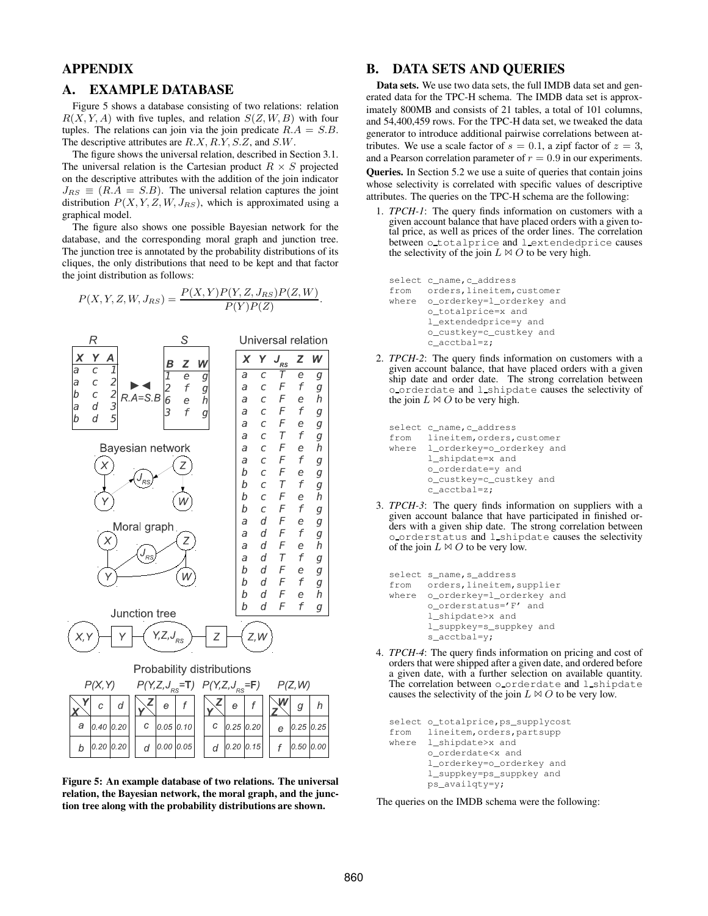# **APPENDIX**

# **A. EXAMPLE DATABASE**

Figure 5 shows a database consisting of two relations: relation  $R(X, Y, A)$  with five tuples, and relation  $S(Z, W, B)$  with four tuples. The relations can join via the join predicate  $R.A = S.B$ . The descriptive attributes are  $R.X, R.Y, S.Z$ , and  $S.W$ .

The figure shows the universal relation, described in Section 3.1. The universal relation is the Cartesian product  $R \times S$  projected on the descriptive attributes with the addition of the join indicator  $J_{RS} \equiv (R.A = S.B)$ . The universal relation captures the joint distribution  $P(X, Y, Z, W, J_{RS})$ , which is approximated using a graphical model.

The figure also shows one possible Bayesian network for the database, and the corresponding moral graph and junction tree. The junction tree is annotated by the probability distributions of its cliques, the only distributions that need to be kept and that factor the joint distribution as follows:

$$
P(X, Y, Z, W, J_{RS}) = \frac{P(X, Y)P(Y, Z, J_{RS})P(Z, W)}{P(Y)P(Z)}.
$$



**Figure 5: An example database of two relations. The universal relation, the Bayesian network, the moral graph, and the junction tree along with the probability distributions are shown.**

### **B. DATA SETS AND QUERIES**

**Data sets.** We use two data sets, the full IMDB data set and generated data for the TPC-H schema. The IMDB data set is approximately 800MB and consists of 21 tables, a total of 101 columns, and 54,400,459 rows. For the TPC-H data set, we tweaked the data generator to introduce additional pairwise correlations between attributes. We use a scale factor of  $s = 0.1$ , a zipf factor of  $z = 3$ , and a Pearson correlation parameter of  $r = 0.9$  in our experiments.

**Queries.** In Section 5.2 we use a suite of queries that contain joins whose selectivity is correlated with specific values of descriptive attributes. The queries on the TPC-H schema are the following:

1. *TPCH-1*: The query finds information on customers with a given account balance that have placed orders with a given total price, as well as prices of the order lines. The correlation between o totalprice and l extendedprice causes the selectivity of the join  $L \bowtie O$  to be very high.

```
select c_name, c_address
from orders,lineitem,customer
where o_orderkey=l_orderkey and
       o_totalprice=x and
       l_extendedprice=y and
       o_custkey=c_custkey and
       c_acctbal=z;
```
2. *TPCH-2*: The query finds information on customers with a given account balance, that have placed orders with a given ship date and order date. The strong correlation between o orderdate and l shipdate causes the selectivity of the join  $L \bowtie O$  to be very high.

```
select c_name, c_address
from lineitem,orders,customer
where l_orderkey=o_orderkey and
      l_shipdate=x and
      o_orderdate=y and
      o_custkey=c_custkey and
      c_acctbal=z;
```
3. *TPCH-3*: The query finds information on suppliers with a given account balance that have participated in finished orders with a given ship date. The strong correlation between o orderstatus and l shipdate causes the selectivity of the join  $L \bowtie O$  to be very low.

```
select s_name, s_address
from orders, lineitem, supplier<br>where o_orderkey=l_orderkey and
        o_orderkey=1_orderkey and
        o_orderstatus='F' and
        l_shipdate>x and
        l_suppkey=s_suppkey and
        s_acctbal=y;
```
4. *TPCH-4*: The query finds information on pricing and cost of orders that were shipped after a given date, and ordered before a given date, with a further selection on available quantity. The correlation between o orderdate and l shipdate causes the selectivity of the join  $L \bowtie O$  to be very low.

```
select o_totalprice,ps_supplycost
from lineitem, orders, partsupp
where 1 shipdate>x and
       o_orderdate<x and
       l_orderkey=o_orderkey and
       l_suppkey=ps_suppkey and
       ps_availqty=y;
```
The queries on the IMDB schema were the following: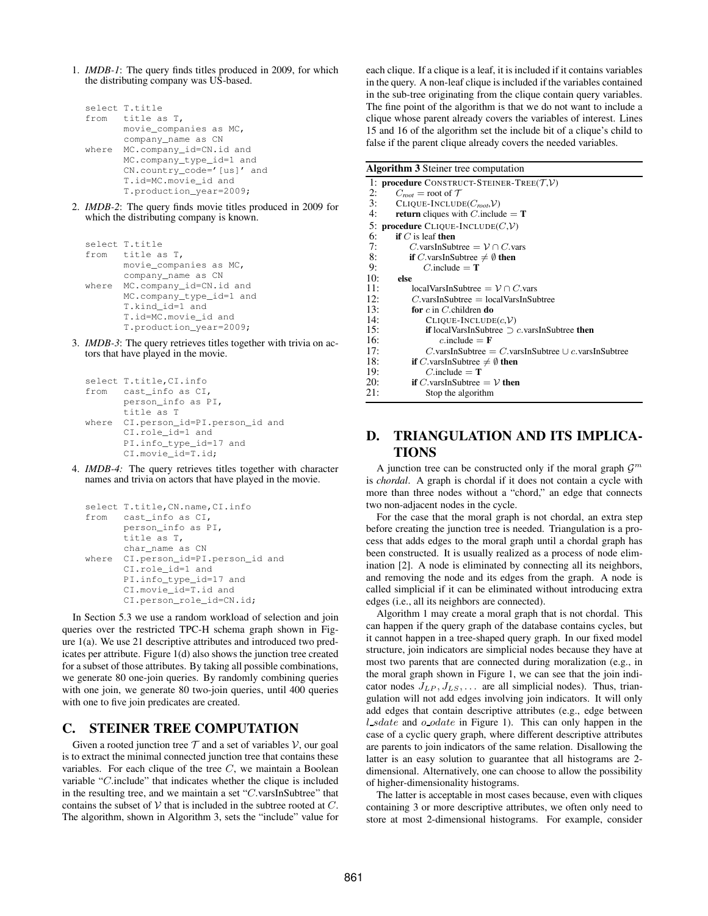1. *IMDB-1*: The query finds titles produced in 2009, for which the distributing company was US-based.

```
select T.title
from title as T,
      movie_companies as MC,
      company_name as CN
where MC.company_id=CN.id and
      MC.company_type_id=1 and
      CN.country_code='[us]' and
      T.id=MC.movie_id and
      T.production_year=2009;
```
2. *IMDB-2*: The query finds movie titles produced in 2009 for which the distributing company is known.

```
select T.title
from title as T,
      movie_companies as MC,
      company_name as CN
where MC.company_id=CN.id and
      MC.company_type_id=1 and
      T.kind_id=1 and
      T.id=MC.movie_id and
      T.production_year=2009;
```
3. *IMDB-3*: The query retrieves titles together with trivia on actors that have played in the movie.

```
select T.title, CI. info
from cast_info as CI,
       person_info as PI,
       title as T
where CI.person_id=PI.person_id and
       CI.role_id=1 and
       PI.info_type_id=17 and
       CI.movie_id=T.id;
```
4. *IMDB-4:* The query retrieves titles together with character names and trivia on actors that have played in the movie.

```
select T.title, CN.name, CI.info
from cast_info as CI,
      person_info as PI,
      title as T,
      char_name as CN
where CI.person_id=PI.person_id and
      CI.role_id=1 and
      PI.info_type_id=17 and
      CI.movie_id=T.id and
      CI.person_role_id=CN.id;
```
In Section 5.3 we use a random workload of selection and join queries over the restricted TPC-H schema graph shown in Figure 1(a). We use 21 descriptive attributes and introduced two predicates per attribute. Figure 1(d) also shows the junction tree created for a subset of those attributes. By taking all possible combinations, we generate 80 one-join queries. By randomly combining queries with one join, we generate 80 two-join queries, until 400 queries with one to five join predicates are created.

# **C. STEINER TREE COMPUTATION**

Given a rooted junction tree  $T$  and a set of variables  $V$ , our goal is to extract the minimal connected junction tree that contains these variables. For each clique of the tree  $C$ , we maintain a Boolean variable "C.include" that indicates whether the clique is included in the resulting tree, and we maintain a set "C.varsInSubtree" that contains the subset of  $V$  that is included in the subtree rooted at  $C$ . The algorithm, shown in Algorithm 3, sets the "include" value for each clique. If a clique is a leaf, it is included if it contains variables in the query. A non-leaf clique is included if the variables contained in the sub-tree originating from the clique contain query variables. The fine point of the algorithm is that we do not want to include a clique whose parent already covers the variables of interest. Lines 15 and 16 of the algorithm set the include bit of a clique's child to false if the parent clique already covers the needed variables.

#### **Algorithm 3** Steiner tree computation

| 1: <b>procedure</b> CONSTRUCT-STEINER-TREE( $T,V$ ) |                                                             |  |
|-----------------------------------------------------|-------------------------------------------------------------|--|
| 2:                                                  | $C_{root}$ = root of $\mathcal T$                           |  |
| 3:                                                  | $CLIOUE-INCLUDE(C_{mot},V)$                                 |  |
| 4:                                                  | <b>return</b> cliques with <i>C</i> .include = $T$          |  |
|                                                     | 5: procedure CLIQUE-INCLUDE $(C,\mathcal{V})$               |  |
| 6:                                                  | <b>if</b> $C$ is leaf <b>then</b>                           |  |
| 7:                                                  | C.varsInSubtree = $V \cap C$ .vars                          |  |
| 8:                                                  | <b>if</b> C.varsInSubtree $\neq \emptyset$ then             |  |
| 9:                                                  | $C$ include = $T$                                           |  |
| 10:                                                 | else                                                        |  |
| 11:                                                 | $localVarsInSubtree = \mathcal{V} \cap C.\text{vars}$       |  |
| 12:                                                 | $C$ , varsInSubtree = $localVarsInSubtree$                  |  |
| 13:                                                 | for $c$ in C, children do                                   |  |
| 14:                                                 | $CLIOUE-INCLUDE(c, V)$                                      |  |
| 15:                                                 | <b>if</b> localVarsInSubtree $\supset c$ varsInSubtree then |  |
| 16:                                                 | c.include = $\mathbf{F}$                                    |  |
| 17:                                                 | C.varsInSubtree = C.varsInSubtree $\cup c$ .varsInSubtree   |  |
| 18:                                                 | <b>if</b> C.varsInSubtree $\neq \emptyset$ then             |  |
| 19:                                                 | $C$ .include = $T$                                          |  |
| 20:                                                 | <b>if</b> C. varsInSubtree $=$ V then                       |  |
| 21:                                                 | Stop the algorithm                                          |  |

# **D. TRIANGULATION AND ITS IMPLICA-TIONS**

A junction tree can be constructed only if the moral graph  $\mathcal{G}^m$ is *chordal*. A graph is chordal if it does not contain a cycle with more than three nodes without a "chord," an edge that connects two non-adjacent nodes in the cycle.

For the case that the moral graph is not chordal, an extra step before creating the junction tree is needed. Triangulation is a process that adds edges to the moral graph until a chordal graph has been constructed. It is usually realized as a process of node elimination [2]. A node is eliminated by connecting all its neighbors, and removing the node and its edges from the graph. A node is called simplicial if it can be eliminated without introducing extra edges (i.e., all its neighbors are connected).

Algorithm 1 may create a moral graph that is not chordal. This can happen if the query graph of the database contains cycles, but it cannot happen in a tree-shaped query graph. In our fixed model structure, join indicators are simplicial nodes because they have at most two parents that are connected during moralization (e.g., in the moral graph shown in Figure 1, we can see that the join indicator nodes  $J_{LP}, J_{LS}, \ldots$  are all simplicial nodes). Thus, triangulation will not add edges involving join indicators. It will only add edges that contain descriptive attributes (e.g., edge between  $l\_sdate$  and  $o\_odate$  in Figure 1). This can only happen in the case of a cyclic query graph, where different descriptive attributes are parents to join indicators of the same relation. Disallowing the latter is an easy solution to guarantee that all histograms are 2 dimensional. Alternatively, one can choose to allow the possibility of higher-dimensionality histograms.

The latter is acceptable in most cases because, even with cliques containing 3 or more descriptive attributes, we often only need to store at most 2-dimensional histograms. For example, consider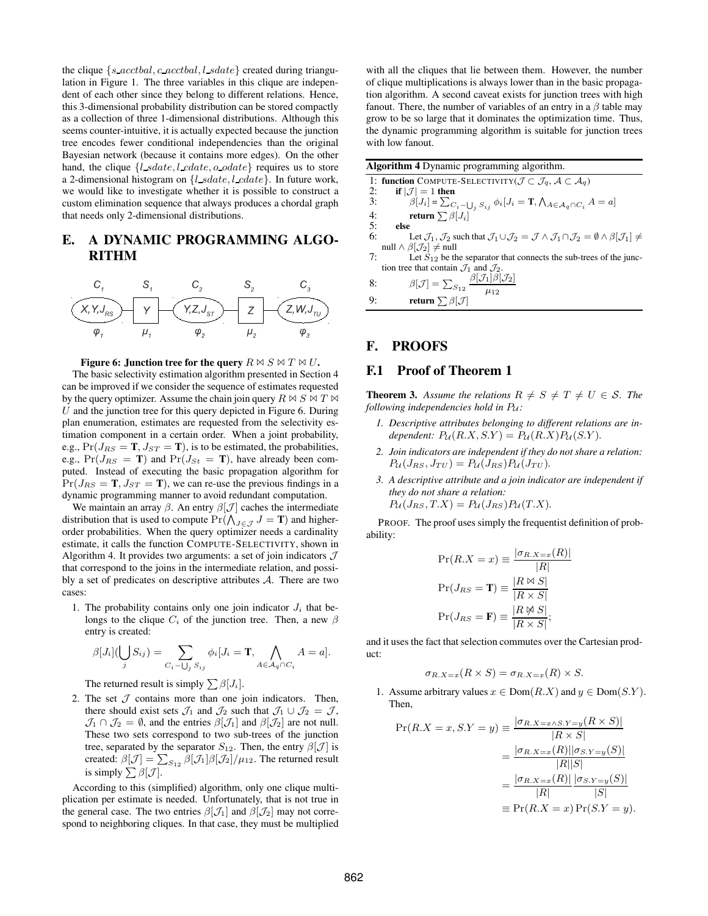the clique  $\{s \cdot \text{acctbal}, c \cdot \text{acctbal}, l \cdot \text{sdate}\}$  created during triangulation in Figure 1. The three variables in this clique are independent of each other since they belong to different relations. Hence, this 3-dimensional probability distribution can be stored compactly as a collection of three 1-dimensional distributions. Although this seems counter-intuitive, it is actually expected because the junction tree encodes fewer conditional independencies than the original Bayesian network (because it contains more edges). On the other hand, the clique  $\{l\_sdate, l\_cdate, o\_odate\}$  requires us to store a 2-dimensional histogram on  $\{l\_sdate, l\_cdate\}$ . In future work, we would like to investigate whether it is possible to construct a custom elimination sequence that always produces a chordal graph that needs only 2-dimensional distributions.

# **E. A DYNAMIC PROGRAMMING ALGO-RITHM**



#### **Figure 6:** Junction tree for the query  $R \bowtie S \bowtie T \bowtie U$ .

The basic selectivity estimation algorithm presented in Section 4 can be improved if we consider the sequence of estimates requested by the query optimizer. Assume the chain join query  $R \bowtie S \bowtie T \bowtie$  $U$  and the junction tree for this query depicted in Figure 6. During plan enumeration, estimates are requested from the selectivity estimation component in a certain order. When a joint probability, e.g.,  $Pr(J_{RS} = T, J_{ST} = T)$ , is to be estimated, the probabilities, e.g.,  $Pr(J_{RS} = T)$  and  $Pr(J_{St} = T)$ , have already been computed. Instead of executing the basic propagation algorithm for  $Pr(J_{RS} = T, J_{ST} = T)$ , we can re-use the previous findings in a dynamic programming manner to avoid redundant computation.

We maintain an array  $\beta$ . An entry  $\beta[\mathcal{J}]$  caches the intermediate distribution that is used to compute  $Pr(\bigwedge_{J \in \mathcal{J}} J = \mathbf{T})$  and higherorder probabilities. When the query optimizer needs a cardinality estimate, it calls the function COMPUTE-SELECTIVITY, shown in Algorithm 4. It provides two arguments: a set of join indicators  $\mathcal J$ that correspond to the joins in the intermediate relation, and possibly a set of predicates on descriptive attributes  $A$ . There are two cases:

1. The probability contains only one join indicator  $J_i$  that belongs to the clique  $C_i$  of the junction tree. Then, a new  $\beta$ entry is created:

$$
\beta[J_i](\bigcup_j S_{ij}) = \sum_{C_i - \bigcup_j S_{ij}} \phi_i[J_i = \mathbf{T}, \bigwedge_{A \in \mathcal{A}_q \cap C_i} A = a].
$$

The returned result is simply  $\sum \beta |J_i|$ .

2. The set  $J$  contains more than one join indicators. Then, there should exist sets  $\mathcal{J}_1$  and  $\mathcal{J}_2$  such that  $\mathcal{J}_1 \cup \mathcal{J}_2 = \mathcal{J}$ ,  $\mathcal{J}_1 \cap \mathcal{J}_2 = \emptyset$ , and the entries  $\beta[\mathcal{J}_1]$  and  $\beta[\mathcal{J}_2]$  are not null. These two sets correspond to two sub-trees of the junction tree, separated by the separator  $S_{12}$ . Then, the entry  $\beta$ [J] is created:  $\beta[{\cal J}] = \sum_{S_{12}} \beta[{\cal J}_1]\beta[{\cal J}_2]/\mu_{12}.$  The returned result is simply  $\sum \beta$ [*J*].

According to this (simplified) algorithm, only one clique multiplication per estimate is needed. Unfortunately, that is not true in the general case. The two entries  $\beta$ [ $\mathcal{J}_1$ ] and  $\beta$ [ $\mathcal{J}_2$ ] may not correspond to neighboring cliques. In that case, they must be multiplied with all the cliques that lie between them. However, the number of clique multiplications is always lower than in the basic propagation algorithm. A second caveat exists for junction trees with high fanout. There, the number of variables of an entry in a  $\beta$  table may grow to be so large that it dominates the optimization time. Thus, the dynamic programming algorithm is suitable for junction trees with low fanout.

| <b>Algorithm 4</b> Dynamic programming algorithm. |                                                                                                                                                                                    |  |
|---------------------------------------------------|------------------------------------------------------------------------------------------------------------------------------------------------------------------------------------|--|
|                                                   | 1: function COMPUTE-SELECTIVITY( $\mathcal{J} \subset \mathcal{J}_q$ , $\mathcal{A} \subset \mathcal{A}_q$ )                                                                       |  |
| 2:                                                | if $ \mathcal{J}  = 1$ then                                                                                                                                                        |  |
| 3:                                                | $\beta[J_i] = \sum_{C_i - \bigcup_j S_{ij}} \phi_i[J_i = \mathbf{T}, \bigwedge_{A \in \mathcal{A}_q \cap C_i} A = a]$                                                              |  |
| 4:                                                | return $\sum \beta [J_i]$                                                                                                                                                          |  |
| 5:                                                | else                                                                                                                                                                               |  |
| 6:                                                | Let $\mathcal{J}_1, \mathcal{J}_2$ such that $\mathcal{J}_1 \cup \mathcal{J}_2 = \mathcal{J} \wedge \mathcal{J}_1 \cap \mathcal{J}_2 = \emptyset \wedge \beta[\mathcal{J}_1] \neq$ |  |
|                                                   | null $\wedge \beta[\mathcal{J}_2] \neq \text{null}$                                                                                                                                |  |
| 7:                                                | Let $S_{12}$ be the separator that connects the sub-trees of the junc-                                                                                                             |  |
|                                                   | tion tree that contain $\mathcal{J}_1$ and $\mathcal{J}_2$ .                                                                                                                       |  |
| 8:                                                | $\beta[\mathcal{J}]=\sum_{S_{12}}\frac{\beta[\mathcal{J}_1]\beta[\mathcal{J}_2]}{\mu_{12}}$                                                                                        |  |
| $\mathbf{Q}$                                      | return $\sum \beta$ [J]                                                                                                                                                            |  |
|                                                   |                                                                                                                                                                                    |  |

# **F. PROOFS**

#### **F.1 Proof of Theorem 1**

**Theorem 3.** Assume the relations  $R \neq S \neq T \neq U \in S$ . The *following independencies hold in*  $P_u$ *:* 

- *1. Descriptive attributes belonging to different relations are independent:*  $P_{\mathcal{U}}(R.X, S.Y) = P_{\mathcal{U}}(R.X)P_{\mathcal{U}}(S.Y).$
- *2. Join indicators are independent if they do not share a relation:*  $P_{\mathcal{U}}(J_{RS},J_{TU})=P_{\mathcal{U}}(J_{RS})P_{\mathcal{U}}(J_{TU}).$
- *3. A descriptive attribute and a join indicator are independent if they do not share a relation:*<br> $P_{\ell}(I - T X) = P_{\ell}(I - T X)$  $P_U(J)$

$$
\mathcal{U}(J_{RS}, I \cdot \Lambda) = P_{\mathcal{U}}(J_{RS}) P_{\mathcal{U}}(I \cdot \Lambda).
$$

PROOF. The proof uses simply the frequentist definition of probability:

$$
\Pr(R.X = x) \equiv \frac{|\sigma_{R.X=x}(R)|}{|R|}
$$

$$
\Pr(J_{RS} = \mathbf{T}) \equiv \frac{|R \bowtie S|}{|R \times S|}
$$

$$
\Pr(J_{RS} = \mathbf{F}) \equiv \frac{|R \bowtie S|}{|R \times S|};
$$

and it uses the fact that selection commutes over the Cartesian product:

$$
\sigma_{R.X=x}(R \times S) = \sigma_{R.X=x}(R) \times S.
$$

1. Assume arbitrary values  $x \in Dom(R.X)$  and  $y \in Dom(S.Y)$ . Then,

$$
\Pr(R.X = x, S.Y = y) \equiv \frac{|\sigma_{R.X=x \land S.Y=y}(R \times S)|}{|R \times S|}
$$

$$
= \frac{|\sigma_{R.X=x}(R)||\sigma_{S.Y=y}(S)|}{|R||S|}
$$

$$
= \frac{|\sigma_{R.X=x}(R)||\sigma_{S.Y=y}(S)|}{|R|}
$$

$$
\equiv \Pr(R.X = x) \Pr(S.Y = y).
$$